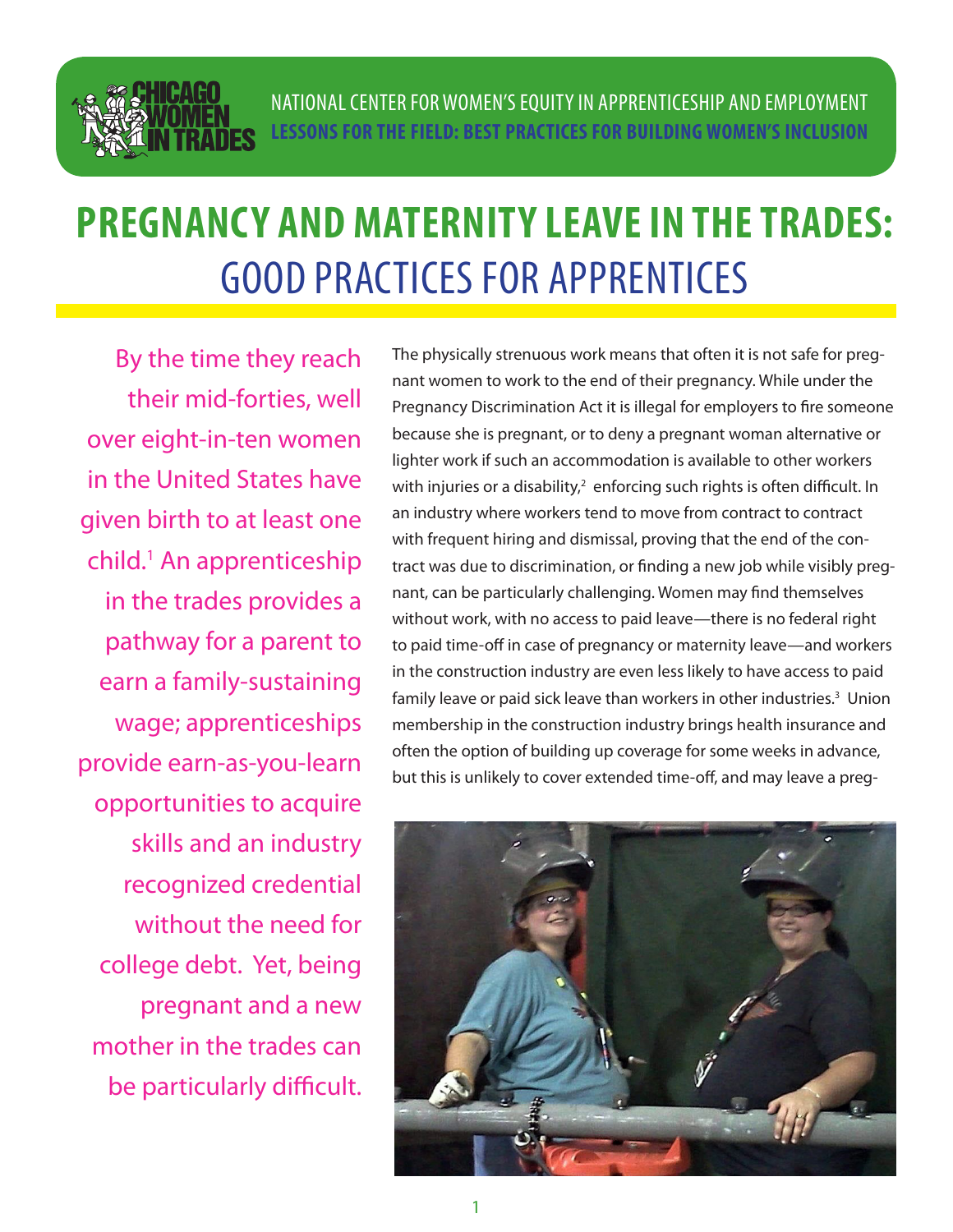

# **PREGNANCY AND MATERNITY LEAVE IN THE TRADES:**  GOOD PRACTICES FOR APPRENTICES

By the time they reach their mid-forties, well over eight-in-ten women in the United States have given birth to at least one child.1 An apprenticeship in the trades provides a pathway for a parent to earn a family-sustaining wage; apprenticeships provide earn-as-you-learn opportunities to acquire skills and an industry recognized credential without the need for college debt. Yet, being pregnant and a new mother in the trades can be particularly difficult.

The physically strenuous work means that often it is not safe for pregnant women to work to the end of their pregnancy. While under the Pregnancy Discrimination Act it is illegal for employers to fire someone because she is pregnant, or to deny a pregnant woman alternative or lighter work if such an accommodation is available to other workers with injuries or a disability, $^2$  enforcing such rights is often difficult. In an industry where workers tend to move from contract to contract with frequent hiring and dismissal, proving that the end of the contract was due to discrimination, or finding a new job while visibly pregnant, can be particularly challenging. Women may find themselves without work, with no access to paid leave—there is no federal right to paid time-off in case of pregnancy or maternity leave—and workers in the construction industry are even less likely to have access to paid family leave or paid sick leave than workers in other industries.<sup>3</sup> Union membership in the construction industry brings health insurance and often the option of building up coverage for some weeks in advance, but this is unlikely to cover extended time-off, and may leave a preg-

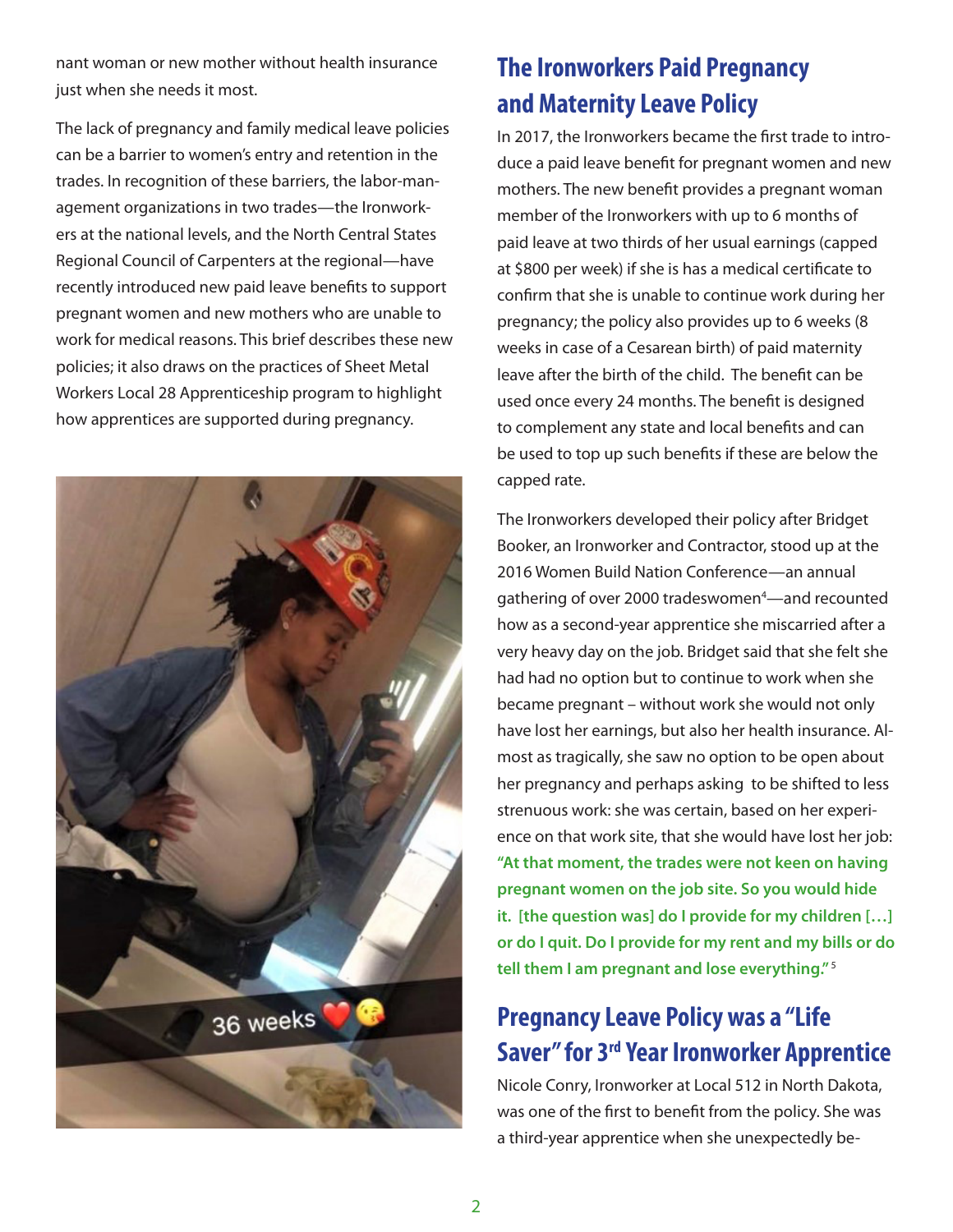nant woman or new mother without health insurance just when she needs it most.

The lack of pregnancy and family medical leave policies can be a barrier to women's entry and retention in the trades. In recognition of these barriers, the labor-management organizations in two trades—the Ironworkers at the national levels, and the North Central States Regional Council of Carpenters at the regional—have recently introduced new paid leave benefits to support pregnant women and new mothers who are unable to work for medical reasons. This brief describes these new policies; it also draws on the practices of Sheet Metal Workers Local 28 Apprenticeship program to highlight how apprentices are supported during pregnancy.



# **The Ironworkers Paid Pregnancy and Maternity Leave Policy**

In 2017, the Ironworkers became the first trade to introduce a paid leave benefit for pregnant women and new mothers. The new benefit provides a pregnant woman member of the Ironworkers with up to 6 months of paid leave at two thirds of her usual earnings (capped at \$800 per week) if she is has a medical certificate to confirm that she is unable to continue work during her pregnancy; the policy also provides up to 6 weeks (8 weeks in case of a Cesarean birth) of paid maternity leave after the birth of the child. The benefit can be used once every 24 months. The benefit is designed to complement any state and local benefits and can be used to top up such benefits if these are below the capped rate.

The Ironworkers developed their policy after Bridget Booker, an Ironworker and Contractor, stood up at the 2016 Women Build Nation Conference—an annual gathering of over 2000 tradeswomen<sup>4</sup>—and recounted how as a second-year apprentice she miscarried after a very heavy day on the job. Bridget said that she felt she had had no option but to continue to work when she became pregnant – without work she would not only have lost her earnings, but also her health insurance. Almost as tragically, she saw no option to be open about her pregnancy and perhaps asking to be shifted to less strenuous work: she was certain, based on her experience on that work site, that she would have lost her job: **"At that moment, the trades were not keen on having pregnant women on the job site. So you would hide it. [the question was] do I provide for my children […] or do I quit. Do I provide for my rent and my bills or do tell them I am pregnant and lose everything."** 5

# **Pregnancy Leave Policy was a "Life Saver" for 3rd Year Ironworker Apprentice**

Nicole Conry, Ironworker at Local 512 in North Dakota, was one of the first to benefit from the policy. She was a third-year apprentice when she unexpectedly be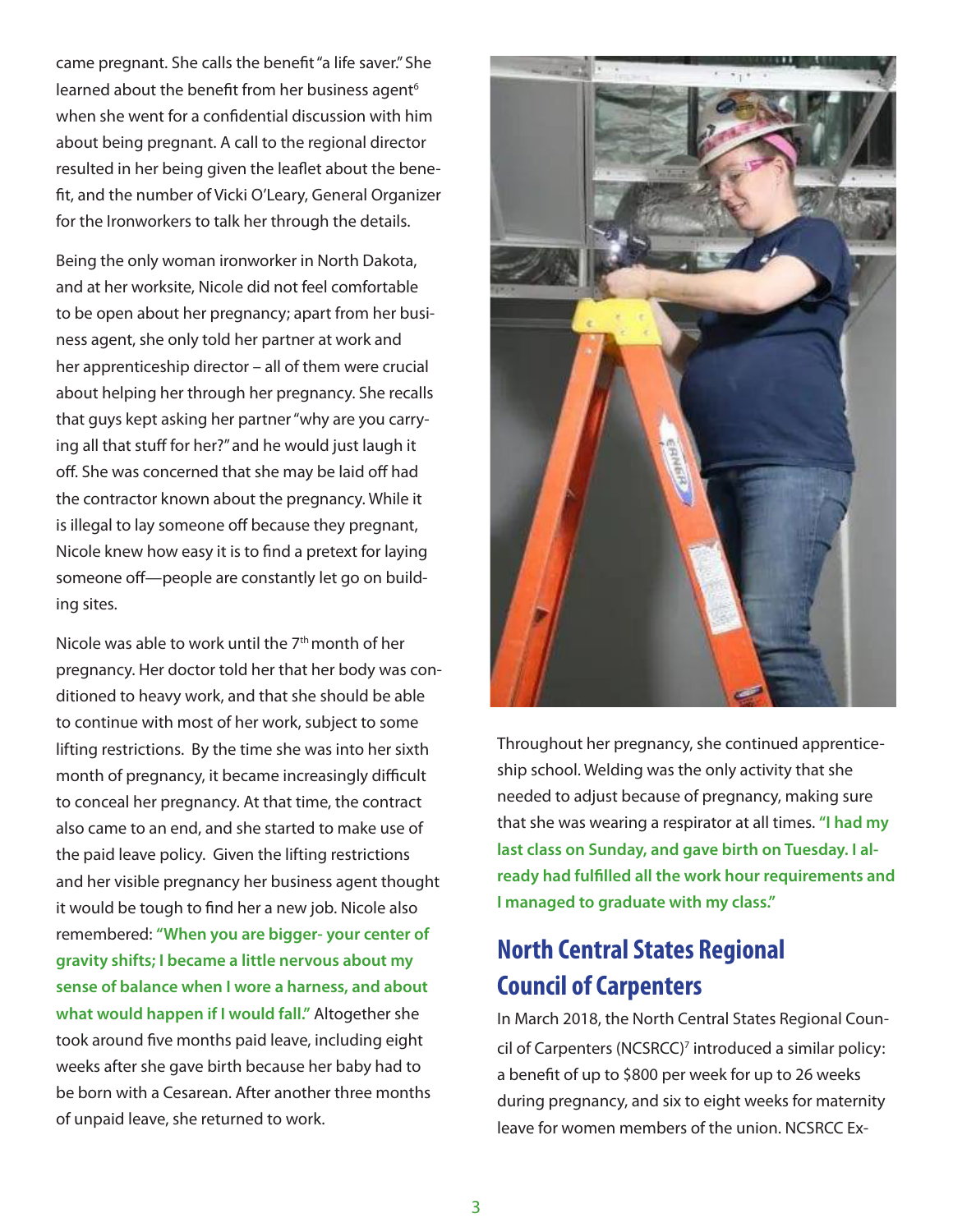came pregnant. She calls the benefit "a life saver." She learned about the benefit from her business agent<sup>6</sup> when she went for a confidential discussion with him about being pregnant. A call to the regional director resulted in her being given the leaflet about the benefit, and the number of Vicki O'Leary, General Organizer for the Ironworkers to talk her through the details.

Being the only woman ironworker in North Dakota, and at her worksite, Nicole did not feel comfortable to be open about her pregnancy; apart from her business agent, she only told her partner at work and her apprenticeship director – all of them were crucial about helping her through her pregnancy. She recalls that guys kept asking her partner "why are you carrying all that stuff for her?" and he would just laugh it off. She was concerned that she may be laid off had the contractor known about the pregnancy. While it is illegal to lay someone off because they pregnant, Nicole knew how easy it is to find a pretext for laying someone off—people are constantly let go on building sites.

Nicole was able to work until the 7<sup>th</sup> month of her pregnancy. Her doctor told her that her body was conditioned to heavy work, and that she should be able to continue with most of her work, subject to some lifting restrictions. By the time she was into her sixth month of pregnancy, it became increasingly difficult to conceal her pregnancy. At that time, the contract also came to an end, and she started to make use of the paid leave policy. Given the lifting restrictions and her visible pregnancy her business agent thought it would be tough to find her a new job. Nicole also remembered: **"When you are bigger- your center of gravity shifts; I became a little nervous about my sense of balance when I wore a harness, and about what would happen if I would fall."** Altogether she took around five months paid leave, including eight weeks after she gave birth because her baby had to be born with a Cesarean. After another three months of unpaid leave, she returned to work.



Throughout her pregnancy, she continued apprenticeship school. Welding was the only activity that she needed to adjust because of pregnancy, making sure that she was wearing a respirator at all times. **"I had my last class on Sunday, and gave birth on Tuesday. I already had fulfilled all the work hour requirements and I managed to graduate with my class."** 

## **North Central States Regional Council of Carpenters**

In March 2018, the North Central States Regional Council of Carpenters (NCSRCC)<sup>7</sup> introduced a similar policy: a benefit of up to \$800 per week for up to 26 weeks during pregnancy, and six to eight weeks for maternity leave for women members of the union. NCSRCC Ex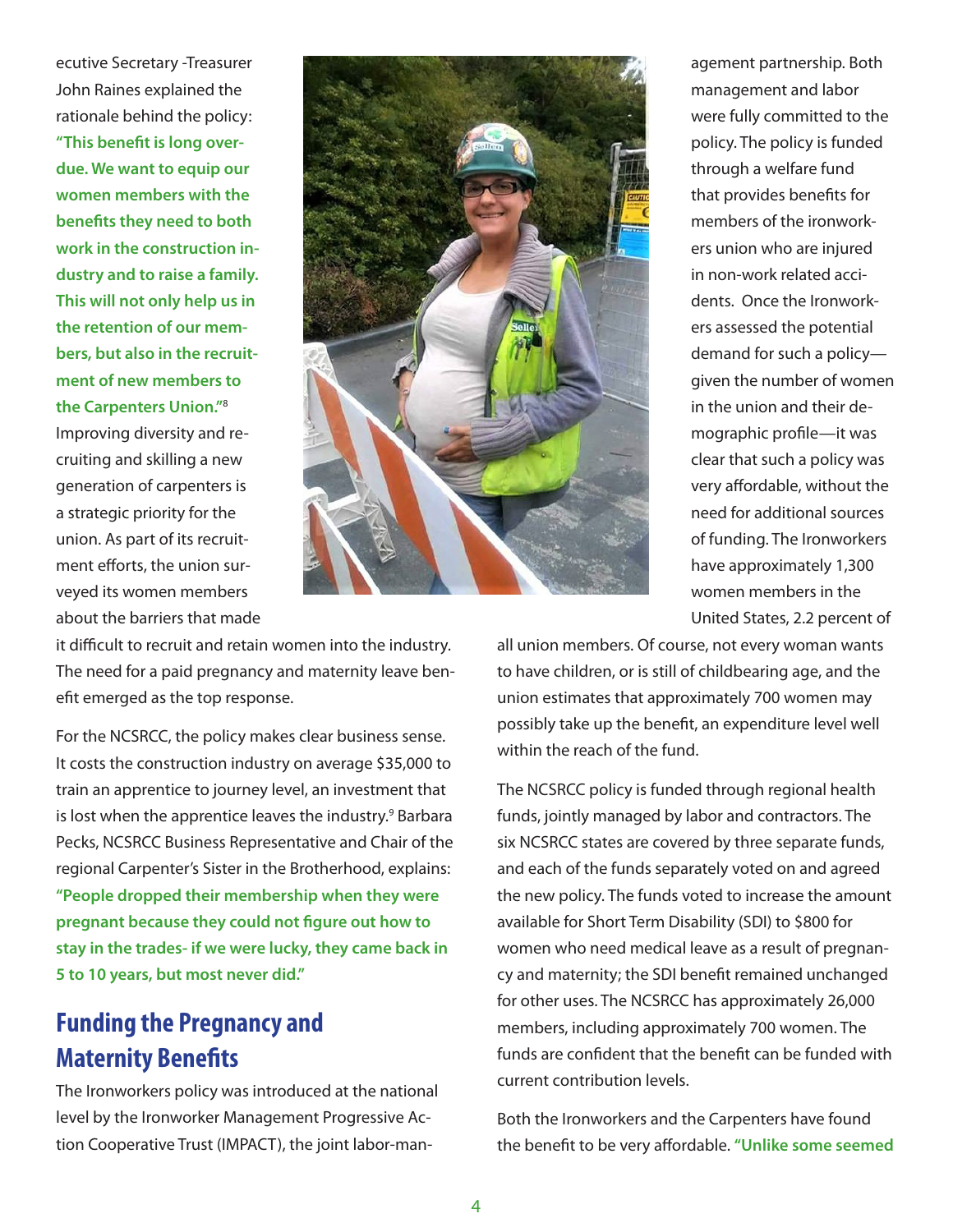ecutive Secretary -Treasurer John Raines explained the rationale behind the policy:

**"This benefit is long overdue. We want to equip our women members with the benefits they need to both work in the construction industry and to raise a family. This will not only help us in the retention of our members, but also in the recruitment of new members to the Carpenters Union."**<sup>8</sup> Improving diversity and recruiting and skilling a new generation of carpenters is a strategic priority for the union. As part of its recruitment efforts, the union surveyed its women members about the barriers that made



agement partnership. Both management and labor were fully committed to the policy. The policy is funded through a welfare fund that provides benefits for members of the ironworkers union who are injured in non-work related accidents. Once the Ironworkers assessed the potential demand for such a policy given the number of women in the union and their demographic profile—it was clear that such a policy was very affordable, without the need for additional sources of funding. The Ironworkers have approximately 1,300 women members in the United States, 2.2 percent of

it difficult to recruit and retain women into the industry. The need for a paid pregnancy and maternity leave benefit emerged as the top response.

For the NCSRCC, the policy makes clear business sense. It costs the construction industry on average \$35,000 to train an apprentice to journey level, an investment that is lost when the apprentice leaves the industry.<sup>9</sup> Barbara Pecks, NCSRCC Business Representative and Chair of the regional Carpenter's Sister in the Brotherhood, explains: **"People dropped their membership when they were pregnant because they could not figure out how to stay in the trades- if we were lucky, they came back in 5 to 10 years, but most never did."** 

## **Funding the Pregnancy and Maternity Benefits**

The Ironworkers policy was introduced at the national level by the Ironworker Management Progressive Action Cooperative Trust (IMPACT), the joint labor-man-

all union members. Of course, not every woman wants to have children, or is still of childbearing age, and the union estimates that approximately 700 women may possibly take up the benefit, an expenditure level well within the reach of the fund.

The NCSRCC policy is funded through regional health funds, jointly managed by labor and contractors. The six NCSRCC states are covered by three separate funds, and each of the funds separately voted on and agreed the new policy. The funds voted to increase the amount available for Short Term Disability (SDI) to \$800 for women who need medical leave as a result of pregnancy and maternity; the SDI benefit remained unchanged for other uses. The NCSRCC has approximately 26,000 members, including approximately 700 women. The funds are confident that the benefit can be funded with current contribution levels.

Both the Ironworkers and the Carpenters have found the benefit to be very affordable. **"Unlike some seemed**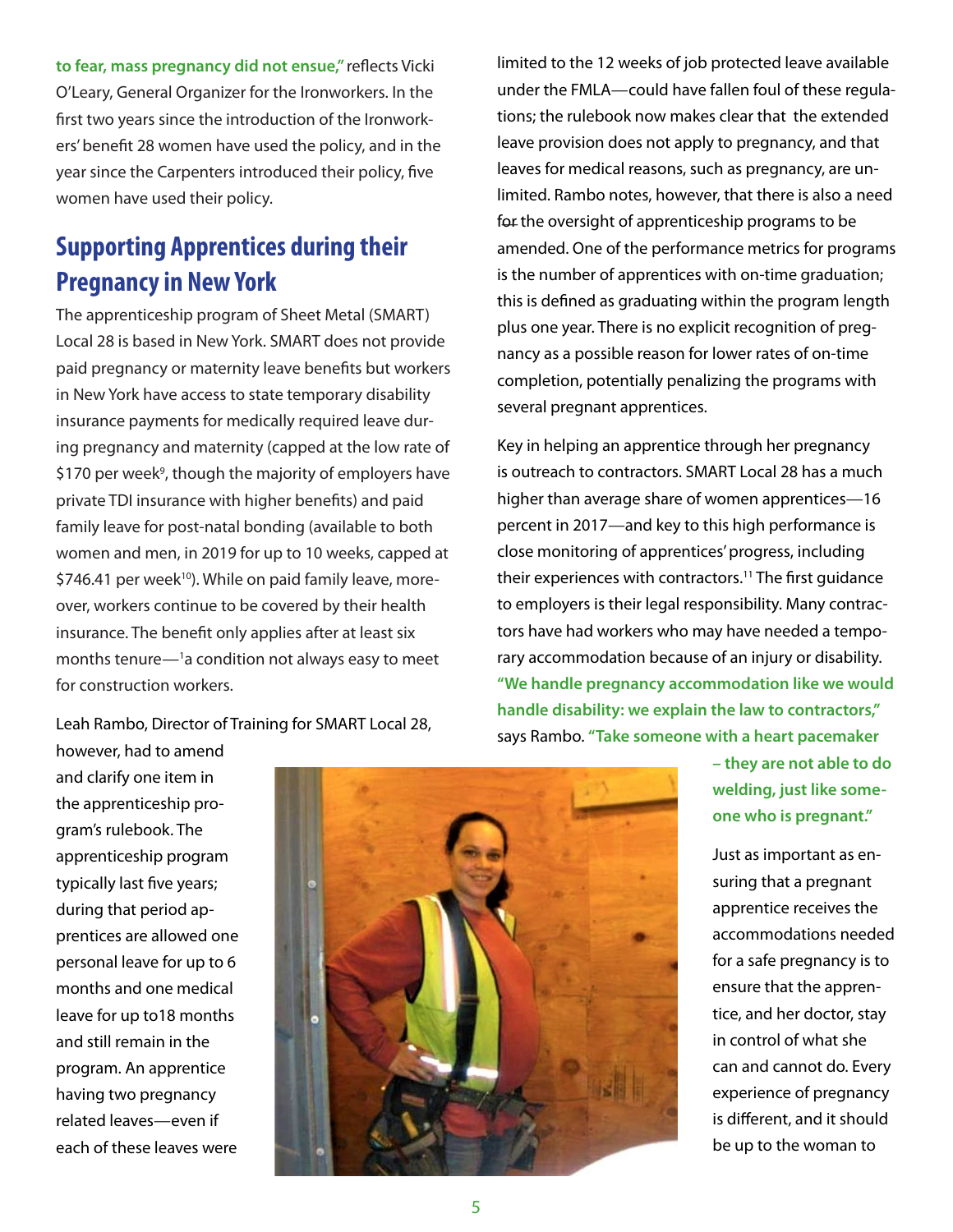<span id="page-4-0"></span>**to fear, mass pregnancy did not ensue,"** reflects Vicki O'Leary, General Organizer for the Ironworkers. In the first two years since the introduction of the Ironworkers' benefit 28 women have used the policy, and in the year since the Carpenters introduced their policy, five women have used their policy.

# **Supporting Apprentices during their Pregnancy in New York**

The apprenticeship program of Sheet Metal (SMART) Local 28 is based in New York. SMART does not provide paid pregnancy or maternity leave benefits but workers in New York have access to state temporary disability insurance payments for medically required leave during pregnancy and maternity (capped at the low rate of \$170 per week<sup>9</sup>, though the majority of employers have private TDI insurance with higher benefits) and paid family leave for post-natal bonding (available to both women and men, in 2019 for up to 10 weeks, capped at  $$746.41$  per week<sup>10</sup>). While on paid family leave, moreover, workers continue to be covered by their health insurance. The benefit only applies after at least six months tenure— $1a$  condition not always easy to meet for construction workers.

Leah Rambo, Director of Training for SMART Local 28,

limited to the 12 weeks of job protected leave available under the FMLA—could have fallen foul of these regulations; the rulebook now makes clear that the extended leave provision does not apply to pregnancy, and that leaves for medical reasons, such as pregnancy, are unlimited. Rambo notes, however, that there is also a need for the oversight of apprenticeship programs to be amended. One of the performance metrics for programs is the number of apprentices with on-time graduation; this is defined as graduating within the program length plus one year. There is no explicit recognition of pregnancy as a possible reason for lower rates of on-time completion, potentially penalizing the programs with several pregnant apprentices.

Key in helping an apprentice through her pregnancy is outreach to contractors. SMART Local 28 has a much higher than average share of women apprentices—16 percent in 2017—and key to this high performance is close monitoring of apprentices' progress, including their experiences with contractors.<sup>11</sup> The first quidance to employers is their legal responsibility. Many contractors have had workers who may have needed a temporary accommodation because of an injury or disability. **"We handle pregnancy accommodation like we would handle disability: we explain the law to contractors,"** says Rambo. **"Take someone with a heart pacemaker** 

however, had to amend and clarify one item in the apprenticeship program's rulebook. The apprenticeship program typically last five years; during that period apprentices are allowed one personal leave for up to 6 months and one medical leave for up to18 months and still remain in the program. An apprentice having two pregnancy related leaves—even if each of these leaves were



**– they are not able to do welding, just like someone who is pregnant."**

Just as important as ensuring that a pregnant apprentice receives the accommodations needed for a safe pregnancy is to ensure that the apprentice, and her doctor, stay in control of what she can and cannot do. Every experience of pregnancy is different, and it should be up to the woman to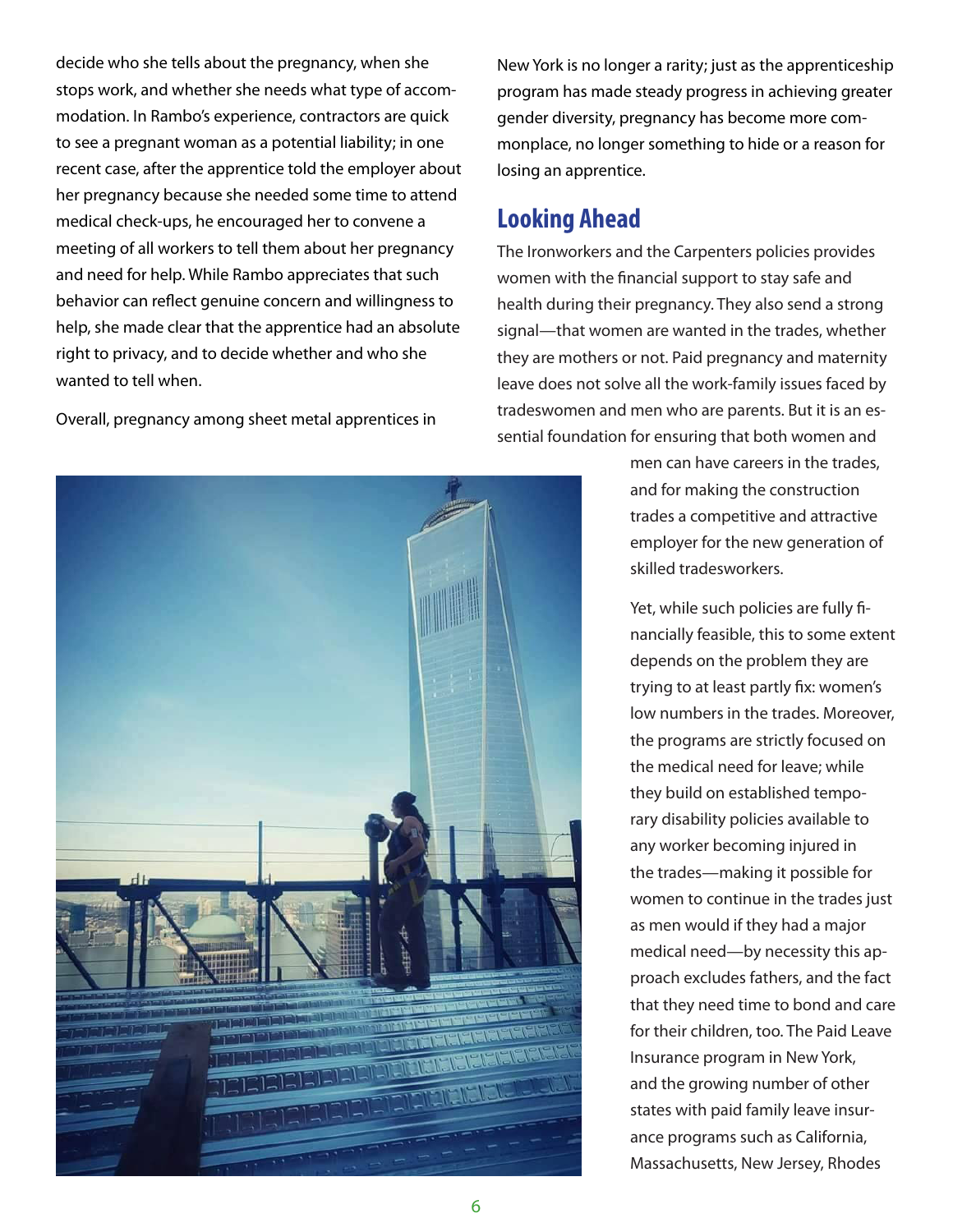decide who she tells about the pregnancy, when she stops work, and whether she needs what type of accommodation. In Rambo's experience, contractors are quick to see a pregnant woman as a potential liability; in one recent case, after the apprentice told the employer about her pregnancy because she needed some time to attend medical check-ups, he encouraged her to convene a meeting of all workers to tell them about her pregnancy and need for help. While Rambo appreciates that such behavior can reflect genuine concern and willingness to help, she made clear that the apprentice had an absolute right to privacy, and to decide whether and who she wanted to tell when.

Overall, pregnancy among sheet metal apprentices in

New York is no longer a rarity; just as the apprenticeship program has made steady progress in achieving greater gender diversity, pregnancy has become more commonplace, no longer something to hide or a reason for losing an apprentice.

#### **Looking Ahead**

The Ironworkers and the Carpenters policies provides women with the financial support to stay safe and health during their pregnancy. They also send a strong signal—that women are wanted in the trades, whether they are mothers or not. Paid pregnancy and maternity leave does not solve all the work-family issues faced by tradeswomen and men who are parents. But it is an essential foundation for ensuring that both women and

> men can have careers in the trades, and for making the construction trades a competitive and attractive employer for the new generation of skilled tradesworkers.

Yet, while such policies are fully financially feasible, this to some extent depends on the problem they are trying to at least partly fix: women's low numbers in the trades. Moreover, the programs are strictly focused on the medical need for leave; while they build on established temporary disability policies available to any worker becoming injured in the trades—making it possible for women to continue in the trades just as men would if they had a major medical need—by necessity this approach excludes fathers, and the fact that they need time to bond and care for their children, too. The Paid Leave Insurance program in New York, and the growing number of other states with paid family leave insurance programs such as California, Massachusetts, New Jersey, Rhodes

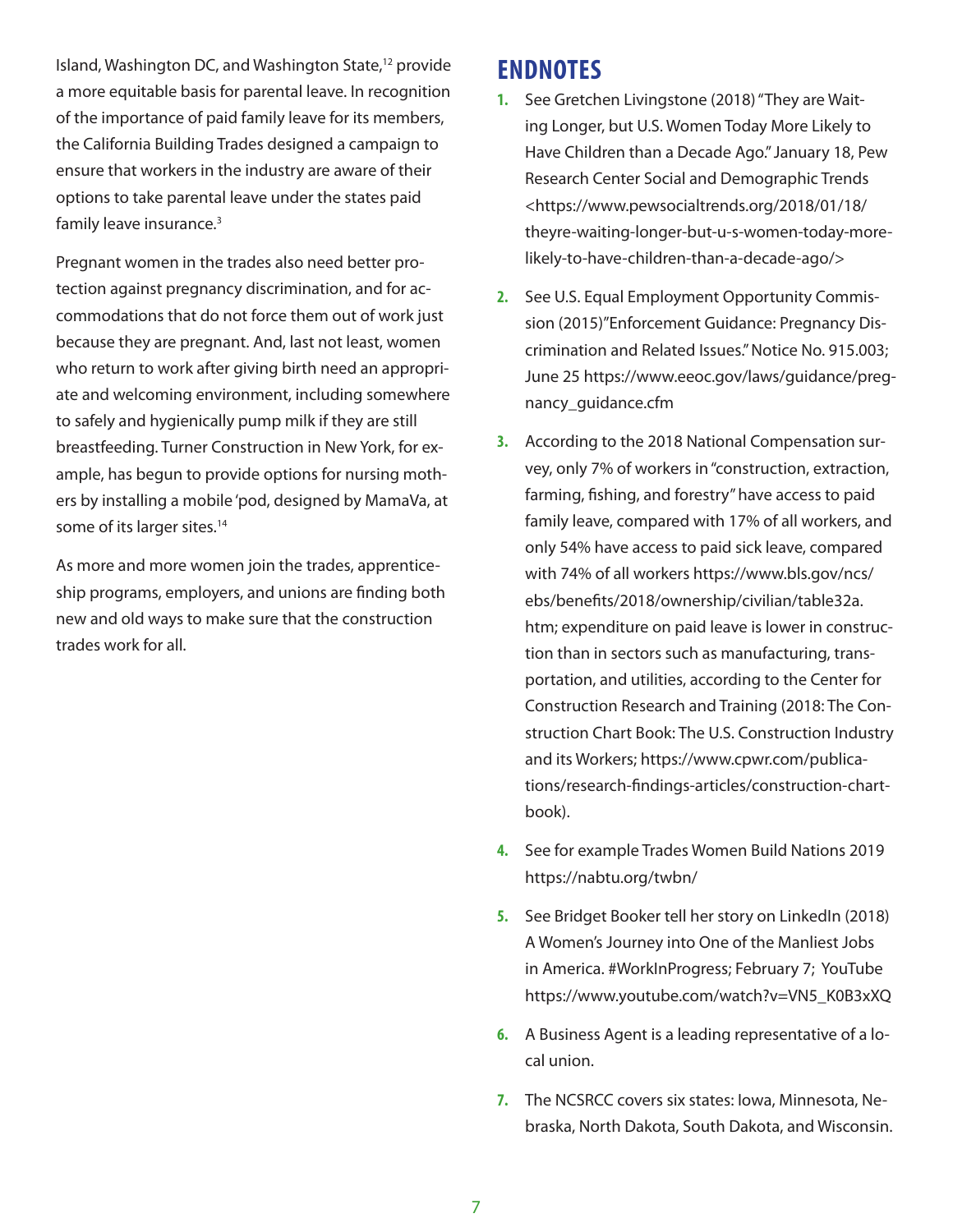Island, Washington DC, and Washington State,12 provide a more equitable basis for parental leave. In recognition of the importance of paid family leave for its members, the California Building Trades designed a campaign to ensure that workers in the industry are aware of their options to take parental leave under the states paid family leave insurance.<sup>3</sup>

Pregnant women in the trades also need better protection against pregnancy discrimination, and for accommodations that do not force them out of work just because they are pregnant. And, last not least, women who return to work after giving birth need an appropriate and welcoming environment, including somewhere to safely and hygienically pump milk if they are still breastfeeding. Turner Construction in New York, for example, has begun to provide options for nursing mothers by installing a mobile 'pod, designed by MamaVa, at some of its larger sites.<sup>14</sup>

As more and more women join the trades, apprenticeship programs, employers, and unions are finding both new and old ways to make sure that the construction trades work for all.

### **ENDNOTES**

- **1.** See Gretchen Livingstone (2018) "They are Waiting Longer, but U.S. Women Today More Likely to Have Children than a Decade Ago." January 18, Pew Research Center Social and Demographic Trends <https://www.pewsocialtrends.org/2018/01/18/ theyre-waiting-longer-but-u-s-women-today-morelikely-to-have-children-than-a-decade-ago/>
- **2.** See U.S. Equal Employment Opportunity Commission (2015)"Enforcement Guidance: Pregnancy Discrimination and Related Issues." Notice No. 915.003; June 25 https://www.eeoc.gov/laws/guidance/pregnancy\_guidance.cfm
- **3.** According to the 2018 National Compensation survey, only 7% of workers in "construction, extraction, farming, fishing, and forestry" have access to paid family leave, compared with 17% of all workers, and only 54% have access to paid sick leave, compared with 74% of all workers https://www.bls.gov/ncs/ ebs/benefits/2018/ownership/civilian/table32a. htm; expenditure on paid leave is lower in construction than in sectors such as manufacturing, transportation, and utilities, according to the Center for Construction Research and Training (2018: The Construction Chart Book: The U.S. Construction Industry and its Workers; https://www.cpwr.com/publications/research-findings-articles/construction-chartbook).
- **4.** See for example Trades Women Build Nations 2019 https://nabtu.org/twbn/
- **5.** See Bridget Booker tell her story on LinkedIn (2018) A Women's Journey into One of the Manliest Jobs in America. #WorkInProgress; February 7; YouTube https://www.youtube.com/watch?v=VN5\_K0B3xXQ
- **6.** A Business Agent is a leading representative of a local union.
- **7.** The NCSRCC covers six states: Iowa, Minnesota, Nebraska, North Dakota, South Dakota, and Wisconsin.